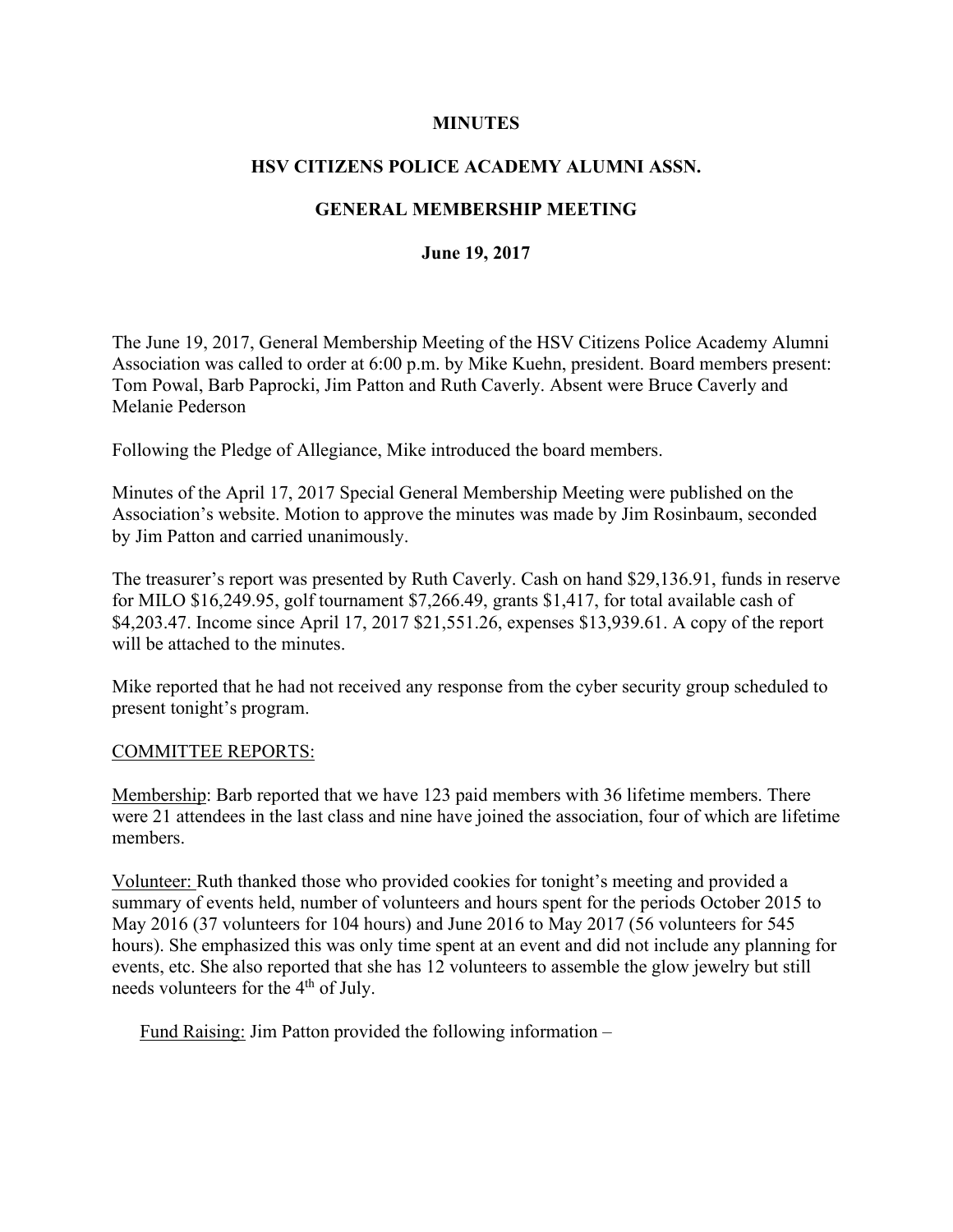### **MINUTES**

## **HSV CITIZENS POLICE ACADEMY ALUMNI ASSN.**

# **GENERAL MEMBERSHIP MEETING**

### **June 19, 2017**

The June 19, 2017, General Membership Meeting of the HSV Citizens Police Academy Alumni Association was called to order at 6:00 p.m. by Mike Kuehn, president. Board members present: Tom Powal, Barb Paprocki, Jim Patton and Ruth Caverly. Absent were Bruce Caverly and Melanie Pederson

Following the Pledge of Allegiance, Mike introduced the board members.

Minutes of the April 17, 2017 Special General Membership Meeting were published on the Association's website. Motion to approve the minutes was made by Jim Rosinbaum, seconded by Jim Patton and carried unanimously.

The treasurer's report was presented by Ruth Caverly. Cash on hand \$29,136.91, funds in reserve for MILO \$16,249.95, golf tournament \$7,266.49, grants \$1,417, for total available cash of \$4,203.47. Income since April 17, 2017 \$21,551.26, expenses \$13,939.61. A copy of the report will be attached to the minutes.

Mike reported that he had not received any response from the cyber security group scheduled to present tonight's program.

#### COMMITTEE REPORTS:

Membership: Barb reported that we have 123 paid members with 36 lifetime members. There were 21 attendees in the last class and nine have joined the association, four of which are lifetime members.

Volunteer: Ruth thanked those who provided cookies for tonight's meeting and provided a summary of events held, number of volunteers and hours spent for the periods October 2015 to May 2016 (37 volunteers for 104 hours) and June 2016 to May 2017 (56 volunteers for 545 hours). She emphasized this was only time spent at an event and did not include any planning for events, etc. She also reported that she has 12 volunteers to assemble the glow jewelry but still needs volunteers for the 4<sup>th</sup> of July.

Fund Raising: Jim Patton provided the following information –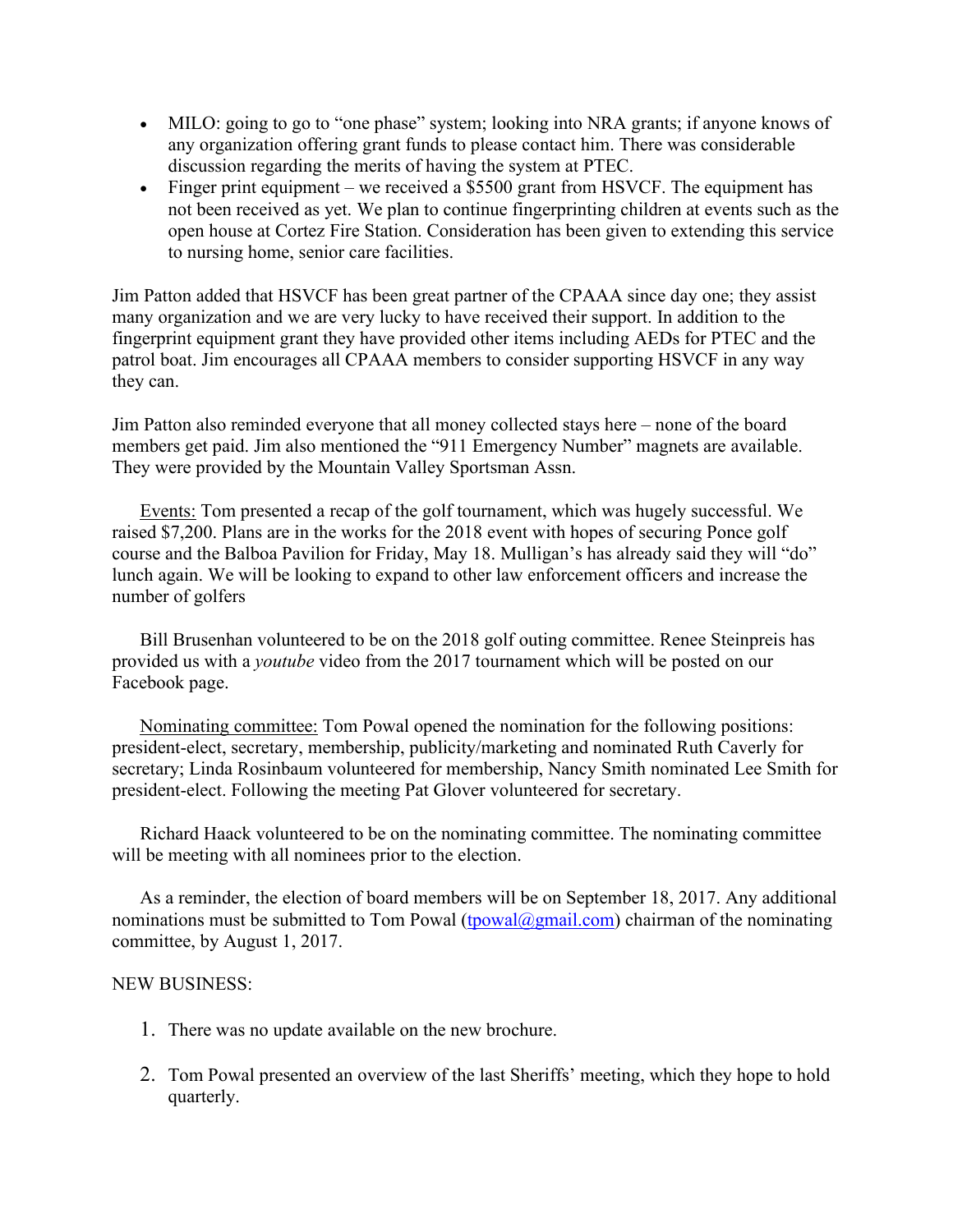- MILO: going to go to "one phase" system; looking into NRA grants; if anyone knows of any organization offering grant funds to please contact him. There was considerable discussion regarding the merits of having the system at PTEC.
- Finger print equipment we received a \$5500 grant from HSVCF. The equipment has not been received as yet. We plan to continue fingerprinting children at events such as the open house at Cortez Fire Station. Consideration has been given to extending this service to nursing home, senior care facilities.

Jim Patton added that HSVCF has been great partner of the CPAAA since day one; they assist many organization and we are very lucky to have received their support. In addition to the fingerprint equipment grant they have provided other items including AEDs for PTEC and the patrol boat. Jim encourages all CPAAA members to consider supporting HSVCF in any way they can.

Jim Patton also reminded everyone that all money collected stays here – none of the board members get paid. Jim also mentioned the "911 Emergency Number" magnets are available. They were provided by the Mountain Valley Sportsman Assn.

Events: Tom presented a recap of the golf tournament, which was hugely successful. We raised \$7,200. Plans are in the works for the 2018 event with hopes of securing Ponce golf course and the Balboa Pavilion for Friday, May 18. Mulligan's has already said they will "do" lunch again. We will be looking to expand to other law enforcement officers and increase the number of golfers

Bill Brusenhan volunteered to be on the 2018 golf outing committee. Renee Steinpreis has provided us with a *youtube* video from the 2017 tournament which will be posted on our Facebook page.

Nominating committee: Tom Powal opened the nomination for the following positions: president-elect, secretary, membership, publicity/marketing and nominated Ruth Caverly for secretary; Linda Rosinbaum volunteered for membership, Nancy Smith nominated Lee Smith for president-elect. Following the meeting Pat Glover volunteered for secretary.

Richard Haack volunteered to be on the nominating committee. The nominating committee will be meeting with all nominees prior to the election.

As a reminder, the election of board members will be on September 18, 2017. Any additional nominations must be submitted to Tom Powal [\(tpowal@gmail.com\)](mailto:tpowal@gmail.com) chairman of the nominating committee, by August 1, 2017.

### NEW BUSINESS:

- 1. There was no update available on the new brochure.
- 2. Tom Powal presented an overview of the last Sheriffs' meeting, which they hope to hold quarterly.